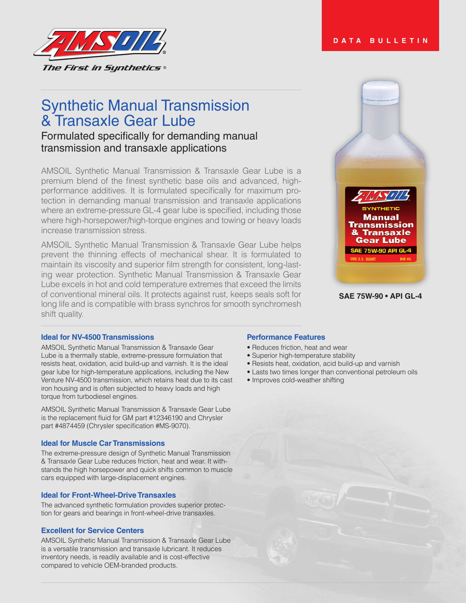

# Synthetic Manual Transmission & Transaxle Gear Lube

## Formulated specifically for demanding manual transmission and transaxle applications

AMSOIL Synthetic Manual Transmission & Transaxle Gear Lube is a premium blend of the finest synthetic base oils and advanced, highperformance additives. It is formulated specifically for maximum protection in demanding manual transmission and transaxle applications where an extreme-pressure GL-4 gear lube is specified, including those where high-horsepower/high-torque engines and towing or heavy loads increase transmission stress.

AMSOIL Synthetic Manual Transmission & Transaxle Gear Lube helps prevent the thinning effects of mechanical shear. It is formulated to maintain its viscosity and superior film strength for consistent, long-lasting wear protection. Synthetic Manual Transmission & Transaxle Gear Lube excels in hot and cold temperature extremes that exceed the limits of conventional mineral oils. It protects against rust, keeps seals soft for long life and is compatible with brass synchros for smooth synchromesh shift quality.



**DATA BULLETIN**

```
SAE 75W-90 • API GL-4
```
#### **Ideal for NV-4500 Transmissions**

AMSOIL Synthetic Manual Transmission & Transaxle Gear Lube is a thermally stable, extreme-pressure formulation that resists heat, oxidation, acid build-up and varnish. It is the ideal gear lube for high-temperature applications, including the New Venture NV-4500 transmission, which retains heat due to its cast iron housing and is often subjected to heavy loads and high torque from turbodiesel engines.

AMSOIL Synthetic Manual Transmission & Transaxle Gear Lube is the replacement fluid for GM part #12346190 and Chrysler part #4874459 (Chrysler specification #MS-9070).

#### **Ideal for Muscle Car Transmissions**

The extreme-pressure design of Synthetic Manual Transmission & Transaxle Gear Lube reduces friction, heat and wear. It withstands the high horsepower and quick shifts common to muscle cars equipped with large-displacement engines.

#### **Ideal for Front-Wheel-Drive Transaxles**

The advanced synthetic formulation provides superior protection for gears and bearings in front-wheel-drive transaxles.

#### **Excellent for Service Centers**

AMSOIL Synthetic Manual Transmission & Transaxle Gear Lube is a versatile transmission and transaxle lubricant. It reduces inventory needs, is readily available and is cost-effective compared to vehicle OEM-branded products.

#### **Performance Features**

- Reduces friction, heat and wear
- Superior high-temperature stability
- Resists heat, oxidation, acid build-up and varnish
- Lasts two times longer than conventional petroleum oils
- Improves cold-weather shifting